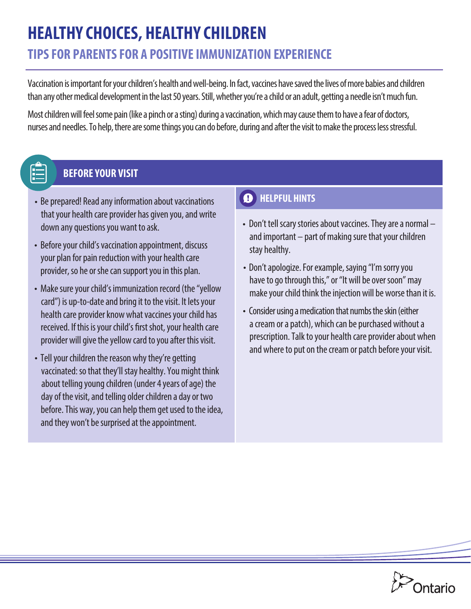# **HEALTHY CHOICES, HEALTHY CHILDREN**

# **TIPS FOR PARENTS FOR A POSITIVE IMMUNIZATION EXPERIENCE**

Vaccination is important for your children's health and well-being. In fact, vaccines have saved the lives of more babies and children than any other medical development in the last 50 years. Still, whether you're a child or an adult, getting a needle isn't much fun.

Most children will feel some pain (like a pinch or a sting) during a vaccination, which may cause them to have a fear of doctors, nurses and needles. To help, there are some things you can do before, during and after the visit to make the process less stressful.

### **BEFORE YOUR VISIT**

- Be prepared! Read any information about vaccinations that your health care provider has given you, and write down any questions you want to ask.
- Before your child's vaccination appointment, discuss your plan for pain reduction with your health care provider, so he or she can support you in this plan.
- Make sure your child's immunization record (the "yellow card") is up-to-date and bring it to the visit. It lets your health care provider know what vaccines your child has received. If this is your child's first shot, your health care provider will give the yellow card to you after this visit.
- Tell your children the reason why they're getting vaccinated: so that they'll stay healthy. You might think about telling young children (under 4 years of age) the day of the visit, and telling older children a day or two before. This way, you can help them get used to the idea, and they won't be surprised at the appointment.

#### **A** HELPFUL HINTS

- Don't tell scary stories about vaccines. They are a normal and important – part of making sure that your children stay healthy.
- Don't apologize. For example, saying "I'm sorry you have to go through this," or "It will be over soon" may make your child think the injection will be worse than it is.
- Consider using a medication that numbs the skin (either a cream or a patch), which can be purchased without a prescription. Talk to your health care provider about when and where to put on the cream or patch before your visit.

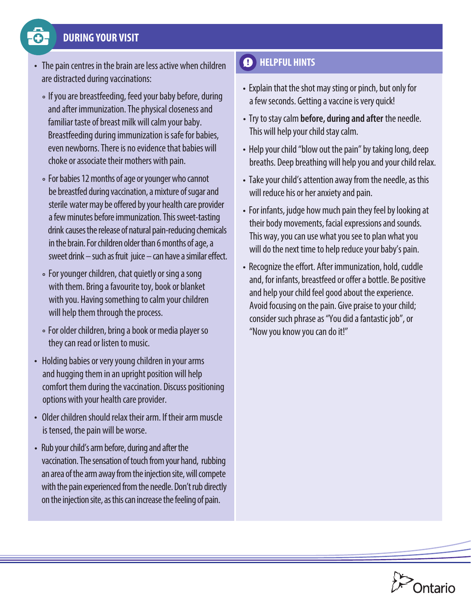#### **DURING YOUR VISIT**

- 
- The pain centres in the brain are less active when children are distracted during vaccinations:
	- If you are breastfeeding, feed your baby before, during and after immunization. The physical closeness and familiar taste of breast milk will calm your baby. Breastfeeding during immunization is safe for babies, even newborns. There is no evidence that babies will choke or associate their mothers with pain.
	- For babies 12 months of age or younger who cannot be breastfed during vaccination, a mixture of sugar and sterile water may be offered by your health care provider a few minutes before immunization. This sweet-tasting drink causes the release of natural pain-reducing chemicals in the brain. For children older than 6 months of age, a sweet drink  $-$  such as fruit juice  $-$  can have a similar effect.
	- For younger children, chat quietly or sing a song with them. Bring a favourite toy, book or blanket with you. Having something to calm your children will help them through the process.
	- For older children, bring a book or media player so they can read or listen to music.
- Holding babies or very young children in your arms and hugging them in an upright position will help comfort them during the vaccination. Discuss positioning options with your health care provider.
- Older children should relax their arm. If their arm muscle is tensed, the pain will be worse.
- Rub your child's arm before, during and after the vaccination. The sensation of touch from your hand, rubbing an area of the arm away from the injection site, will compete with the pain experienced from the needle. Don't rub directly on the injection site, as this can increase the feeling of pain.

## $\bullet$  HELPFUL HINTS

- Explain that the shot may sting or pinch, but only for a few seconds. Getting a vaccine is very quick!
- Try to stay calm **before, during and after** the needle. This will help your child stay calm.
- Help your child "blow out the pain" by taking long, deep breaths. Deep breathing will help you and your child relax.
- Take your child's attention away from the needle, as this will reduce his or her anxiety and pain.
- For infants, judge how much pain they feel by looking at their body movements, facial expressions and sounds. This way, you can use what you see to plan what you will do the next time to help reduce your baby's pain.
- Recognize the effort. After immunization, hold, cuddle and, for infants, breastfeed or offer a bottle. Be positive and help your child feel good about the experience. Avoid focusing on the pain. Give praise to your child; consider such phrase as "You did a fantastic job", or "Now you know you can do it!"